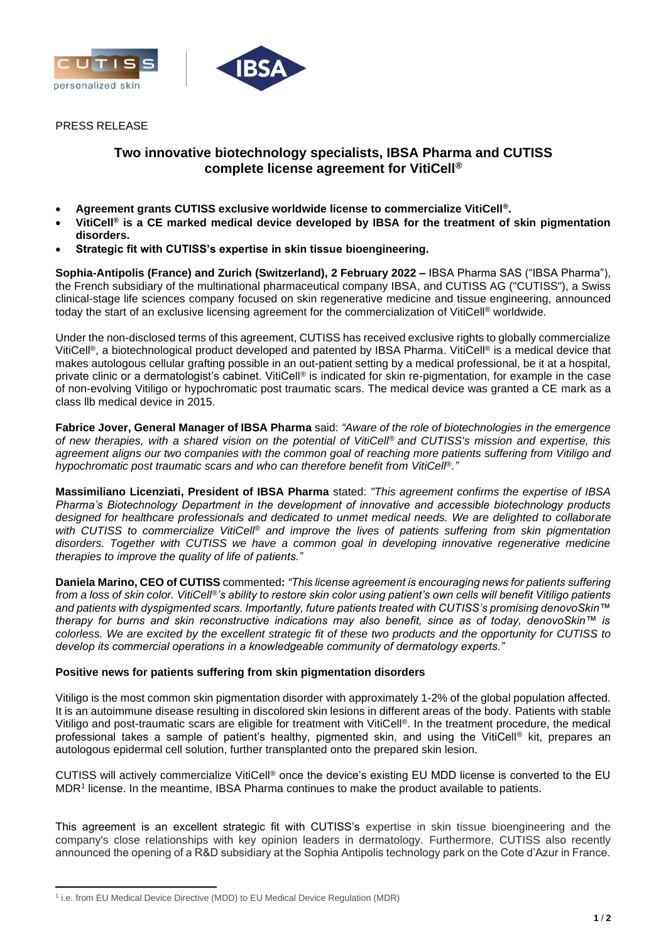



PRESS RELEASE

# **Two innovative biotechnology specialists, IBSA Pharma and CUTISS complete license agreement for VitiCell®**

- **Agreement grants CUTISS exclusive worldwide license to commercialize VitiCell®.**
- **VitiCell® is a CE marked medical device developed by IBSA for the treatment of skin pigmentation disorders.**
- **Strategic fit with CUTISS's expertise in skin tissue bioengineering.**

**Sophia-Antipolis (France) and Zurich (Switzerland), 2 February 2022 –** IBSA Pharma SAS ("IBSA Pharma"), the French subsidiary of the multinational pharmaceutical company IBSA, and CUTISS AG ("CUTISS"), a Swiss clinical-stage life sciences company focused on skin regenerative medicine and tissue engineering, announced today the start of an exclusive licensing agreement for the commercialization of VitiCell® worldwide.

Under the non-disclosed terms of this agreement, CUTISS has received exclusive rights to globally commercialize VitiCell®, a biotechnological product developed and patented by IBSA Pharma. VitiCell® is a medical device that makes autologous cellular grafting possible in an out-patient setting by a medical professional, be it at a hospital, private clinic or a dermatologist's cabinet. VitiCell® is indicated for skin re-pigmentation, for example in the case of non-evolving Vitiligo or hypochromatic post traumatic scars. The medical device was granted a CE mark as a class llb medical device in 2015.

**Fabrice Jover, General Manager of IBSA Pharma** said: *"Aware of the role of biotechnologies in the emergence of new therapies, with a shared vision on the potential of VitiCell® and CUTISS's mission and expertise, this agreement aligns our two companies with the common goal of reaching more patients suffering from Vitiligo and hypochromatic post traumatic scars and who can therefore benefit from VitiCell®."*

**Massimiliano Licenziati, President of IBSA Pharma** stated: *"This agreement confirms the expertise of IBSA Pharma's Biotechnology Department in the development of innovative and accessible biotechnology products designed for healthcare professionals and dedicated to unmet medical needs. We are delighted to collaborate with CUTISS to commercialize VitiCell® and improve the lives of patients suffering from skin pigmentation disorders. Together with CUTISS we have a common goal in developing innovative regenerative medicine therapies to improve the quality of life of patients."*

**Daniela Marino, CEO of CUTISS** commented**:** *"This license agreement is encouraging news for patients suffering from a loss of skin color. VitiCell®'s ability to restore skin color using patient's own cells will benefit Vitiligo patients and patients with dyspigmented scars. Importantly, future patients treated with CUTISS's promising denovoSkin™ therapy for burns and skin reconstructive indications may also benefit, since as of today, denovoSkin™ is colorless. We are excited by the excellent strategic fit of these two products and the opportunity for CUTISS to develop its commercial operations in a knowledgeable community of dermatology experts."*

## **Positive news for patients suffering from skin pigmentation disorders**

Vitiligo is the most common skin pigmentation disorder with approximately 1-2% of the global population affected. It is an autoimmune disease resulting in discolored skin lesions in different areas of the body. Patients with stable Vitiligo and post-traumatic scars are eligible for treatment with VitiCell®. In the treatment procedure, the medical professional takes a sample of patient's healthy, pigmented skin, and using the VitiCell® kit, prepares an autologous epidermal cell solution, further transplanted onto the prepared skin lesion.

CUTISS will actively commercialize VitiCell® once the device's existing EU MDD license is converted to the EU MDR<sup>1</sup> license. In the meantime, IBSA Pharma continues to make the product available to patients.

This agreement is an excellent strategic fit with CUTISS's expertise in skin tissue bioengineering and the company's close relationships with key opinion leaders in dermatology. Furthermore, CUTISS also recently announced the opening of a R&D subsidiary at the Sophia Antipolis technology park on the Cote d'Azur in France.

<sup>&</sup>lt;sup>1</sup> i.e. from EU Medical Device Directive (MDD) to EU Medical Device Regulation (MDR)